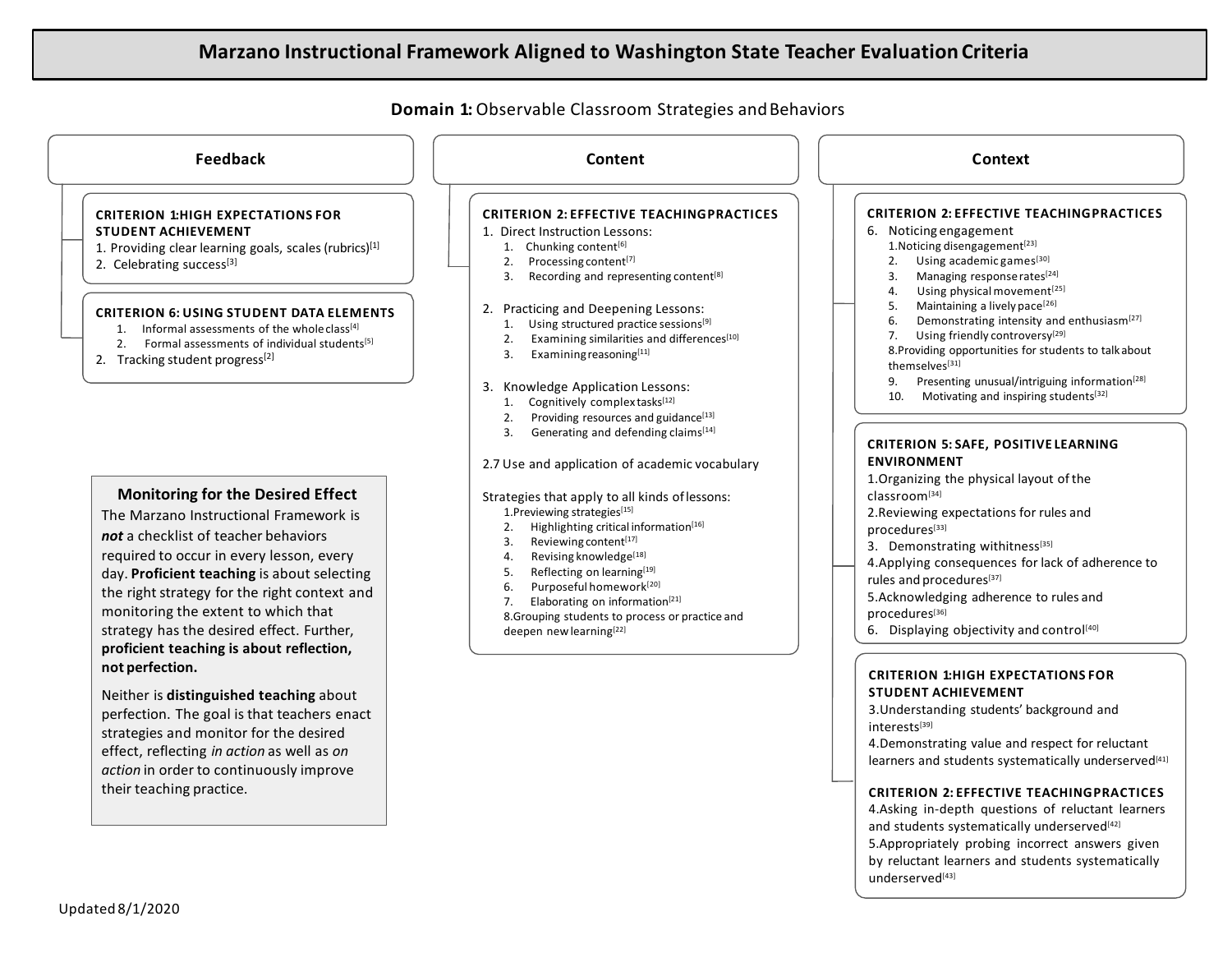# **Marzano Instructional Framework Aligned to Washington State Teacher Evaluation Criteria**



strategies and monitor for the desired effect, reflecting *in action* as well as *on action* in order to continuously improve

their teaching practice.

interests[39]

4.Demonstrating value and respect for reluctant learners and students systematically underserved<sup>[41]</sup>

#### **CRITERION 2: EFFECTIVE TEACHINGPRACTICES**

4.Asking in-depth questions of reluctant learners and students systematically underserved<sup>[42]</sup>

5.Appropriately probing incorrect answers given by reluctant learners and students systematically underserved<sup>[43]</sup>